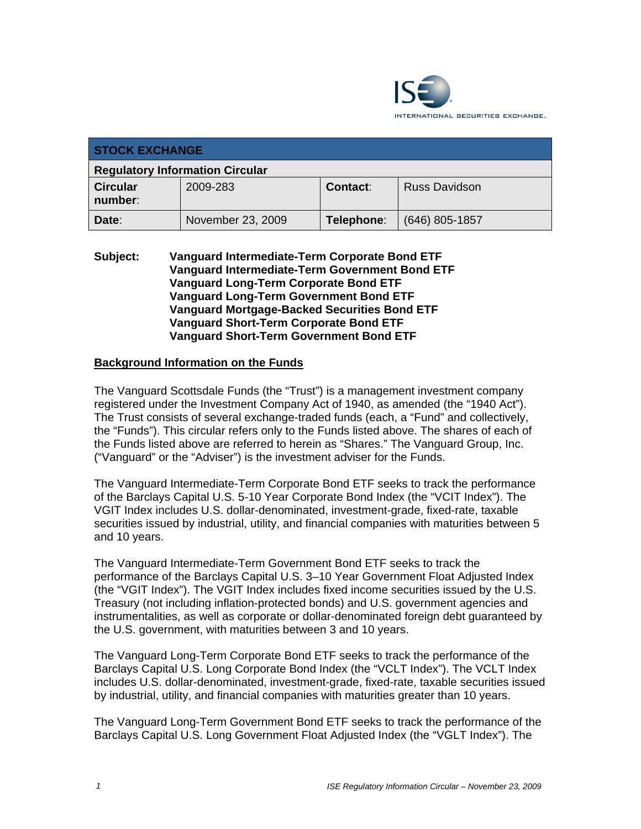

| <b>STOCK EXCHANGE</b>                  |                   |                 |                      |  |  |
|----------------------------------------|-------------------|-----------------|----------------------|--|--|
| <b>Regulatory Information Circular</b> |                   |                 |                      |  |  |
| <b>Circular</b><br>number:             | 2009-283          | <b>Contact:</b> | <b>Russ Davidson</b> |  |  |
| Date:                                  | November 23, 2009 | Telephone:      | (646) 805-1857       |  |  |

#### **Subject: Vanguard Intermediate-Term Corporate Bond ETF Vanguard Intermediate-Term Government Bond ETF Vanguard Long-Term Corporate Bond ETF Vanguard Long-Term Government Bond ETF Vanguard Mortgage-Backed Securities Bond ETF Vanguard Short-Term Corporate Bond ETF Vanguard Short-Term Government Bond ETF**

# **Background Information on the Funds**

The Vanguard Scottsdale Funds (the "Trust") is a management investment company registered under the Investment Company Act of 1940, as amended (the "1940 Act"). The Trust consists of several exchange-traded funds (each, a "Fund" and collectively, the "Funds"). This circular refers only to the Funds listed above. The shares of each of the Funds listed above are referred to herein as "Shares." The Vanguard Group, Inc. ("Vanguard" or the "Adviser") is the investment adviser for the Funds.

The Vanguard Intermediate-Term Corporate Bond ETF seeks to track the performance of the Barclays Capital U.S. 5-10 Year Corporate Bond Index (the "VCIT Index"). The VGIT Index includes U.S. dollar-denominated, investment-grade, fixed-rate, taxable securities issued by industrial, utility, and financial companies with maturities between 5 and 10 years.

The Vanguard Intermediate-Term Government Bond ETF seeks to track the performance of the Barclays Capital U.S. 3–10 Year Government Float Adjusted Index (the "VGIT Index"). The VGIT Index includes fixed income securities issued by the U.S. Treasury (not including inflation-protected bonds) and U.S. government agencies and instrumentalities, as well as corporate or dollar-denominated foreign debt guaranteed by the U.S. government, with maturities between 3 and 10 years.

The Vanguard Long-Term Corporate Bond ETF seeks to track the performance of the Barclays Capital U.S. Long Corporate Bond Index (the "VCLT Index"). The VCLT Index includes U.S. dollar-denominated, investment-grade, fixed-rate, taxable securities issued by industrial, utility, and financial companies with maturities greater than 10 years.

The Vanguard Long-Term Government Bond ETF seeks to track the performance of the Barclays Capital U.S. Long Government Float Adjusted Index (the "VGLT Index"). The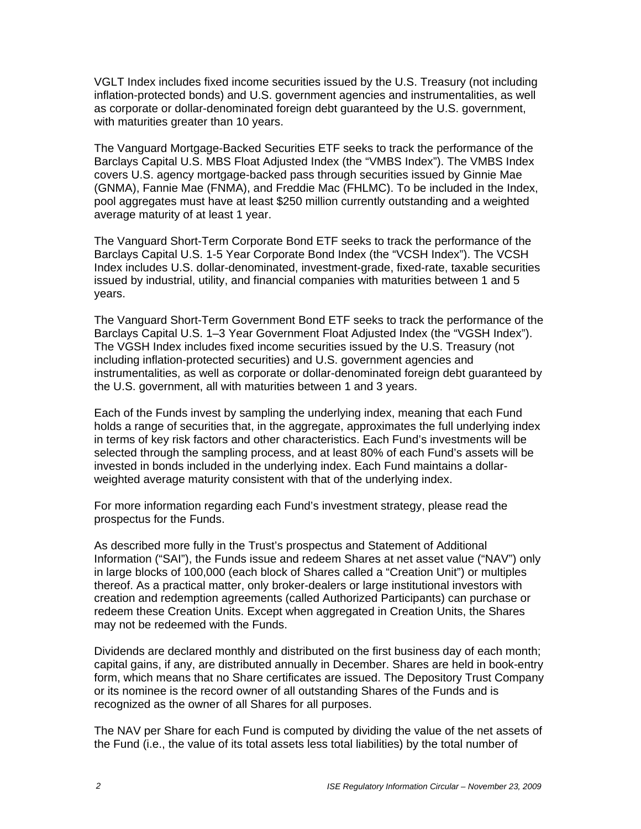VGLT Index includes fixed income securities issued by the U.S. Treasury (not including inflation-protected bonds) and U.S. government agencies and instrumentalities, as well as corporate or dollar-denominated foreign debt guaranteed by the U.S. government, with maturities greater than 10 years.

The Vanguard Mortgage-Backed Securities ETF seeks to track the performance of the Barclays Capital U.S. MBS Float Adjusted Index (the "VMBS Index"). The VMBS Index covers U.S. agency mortgage-backed pass through securities issued by Ginnie Mae (GNMA), Fannie Mae (FNMA), and Freddie Mac (FHLMC). To be included in the Index, pool aggregates must have at least \$250 million currently outstanding and a weighted average maturity of at least 1 year.

The Vanguard Short-Term Corporate Bond ETF seeks to track the performance of the Barclays Capital U.S. 1-5 Year Corporate Bond Index (the "VCSH Index"). The VCSH Index includes U.S. dollar-denominated, investment-grade, fixed-rate, taxable securities issued by industrial, utility, and financial companies with maturities between 1 and 5 years.

The Vanguard Short-Term Government Bond ETF seeks to track the performance of the Barclays Capital U.S. 1–3 Year Government Float Adjusted Index (the "VGSH Index"). The VGSH Index includes fixed income securities issued by the U.S. Treasury (not including inflation-protected securities) and U.S. government agencies and instrumentalities, as well as corporate or dollar-denominated foreign debt guaranteed by the U.S. government, all with maturities between 1 and 3 years.

Each of the Funds invest by sampling the underlying index, meaning that each Fund holds a range of securities that, in the aggregate, approximates the full underlying index in terms of key risk factors and other characteristics. Each Fund's investments will be selected through the sampling process, and at least 80% of each Fund's assets will be invested in bonds included in the underlying index. Each Fund maintains a dollarweighted average maturity consistent with that of the underlying index.

For more information regarding each Fund's investment strategy, please read the prospectus for the Funds.

As described more fully in the Trust's prospectus and Statement of Additional Information ("SAI"), the Funds issue and redeem Shares at net asset value ("NAV") only in large blocks of 100,000 (each block of Shares called a "Creation Unit") or multiples thereof. As a practical matter, only broker-dealers or large institutional investors with creation and redemption agreements (called Authorized Participants) can purchase or redeem these Creation Units. Except when aggregated in Creation Units, the Shares may not be redeemed with the Funds.

Dividends are declared monthly and distributed on the first business day of each month; capital gains, if any, are distributed annually in December. Shares are held in book-entry form, which means that no Share certificates are issued. The Depository Trust Company or its nominee is the record owner of all outstanding Shares of the Funds and is recognized as the owner of all Shares for all purposes.

The NAV per Share for each Fund is computed by dividing the value of the net assets of the Fund (i.e., the value of its total assets less total liabilities) by the total number of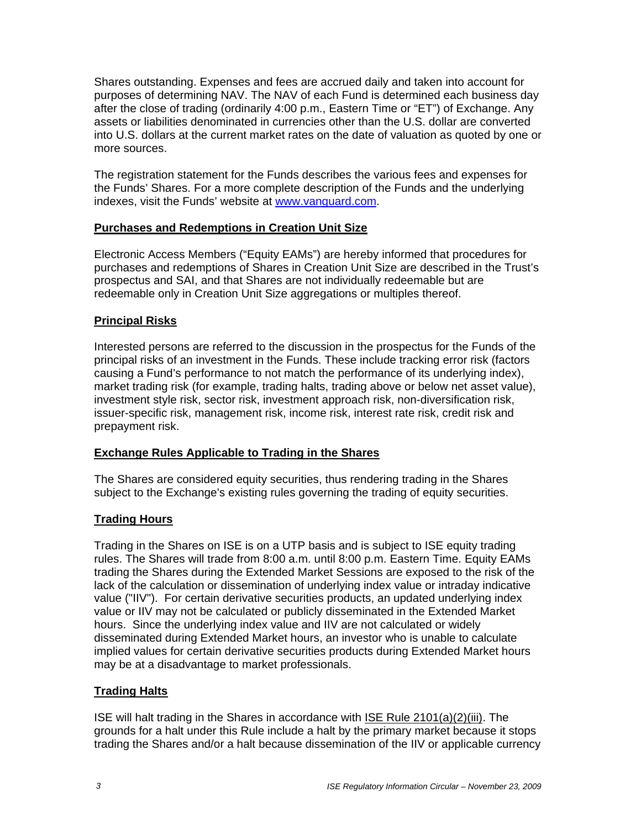Shares outstanding. Expenses and fees are accrued daily and taken into account for purposes of determining NAV. The NAV of each Fund is determined each business day after the close of trading (ordinarily 4:00 p.m., Eastern Time or "ET") of Exchange. Any assets or liabilities denominated in currencies other than the U.S. dollar are converted into U.S. dollars at the current market rates on the date of valuation as quoted by one or more sources.

The registration statement for the Funds describes the various fees and expenses for the Funds' Shares. For a more complete description of the Funds and the underlying indexes, visit the Funds' website at www.vanguard.com.

# **Purchases and Redemptions in Creation Unit Size**

Electronic Access Members ("Equity EAMs") are hereby informed that procedures for purchases and redemptions of Shares in Creation Unit Size are described in the Trust's prospectus and SAI, and that Shares are not individually redeemable but are redeemable only in Creation Unit Size aggregations or multiples thereof.

# **Principal Risks**

Interested persons are referred to the discussion in the prospectus for the Funds of the principal risks of an investment in the Funds. These include tracking error risk (factors causing a Fund's performance to not match the performance of its underlying index), market trading risk (for example, trading halts, trading above or below net asset value), investment style risk, sector risk, investment approach risk, non-diversification risk, issuer-specific risk, management risk, income risk, interest rate risk, credit risk and prepayment risk.

# **Exchange Rules Applicable to Trading in the Shares**

The Shares are considered equity securities, thus rendering trading in the Shares subject to the Exchange's existing rules governing the trading of equity securities.

# **Trading Hours**

Trading in the Shares on ISE is on a UTP basis and is subject to ISE equity trading rules. The Shares will trade from 8:00 a.m. until 8:00 p.m. Eastern Time. Equity EAMs trading the Shares during the Extended Market Sessions are exposed to the risk of the lack of the calculation or dissemination of underlying index value or intraday indicative value ("IIV"). For certain derivative securities products, an updated underlying index value or IIV may not be calculated or publicly disseminated in the Extended Market hours. Since the underlying index value and IIV are not calculated or widely disseminated during Extended Market hours, an investor who is unable to calculate implied values for certain derivative securities products during Extended Market hours may be at a disadvantage to market professionals.

# **Trading Halts**

ISE will halt trading in the Shares in accordance with ISE Rule 2101(a)(2)(iii). The grounds for a halt under this Rule include a halt by the primary market because it stops trading the Shares and/or a halt because dissemination of the IIV or applicable currency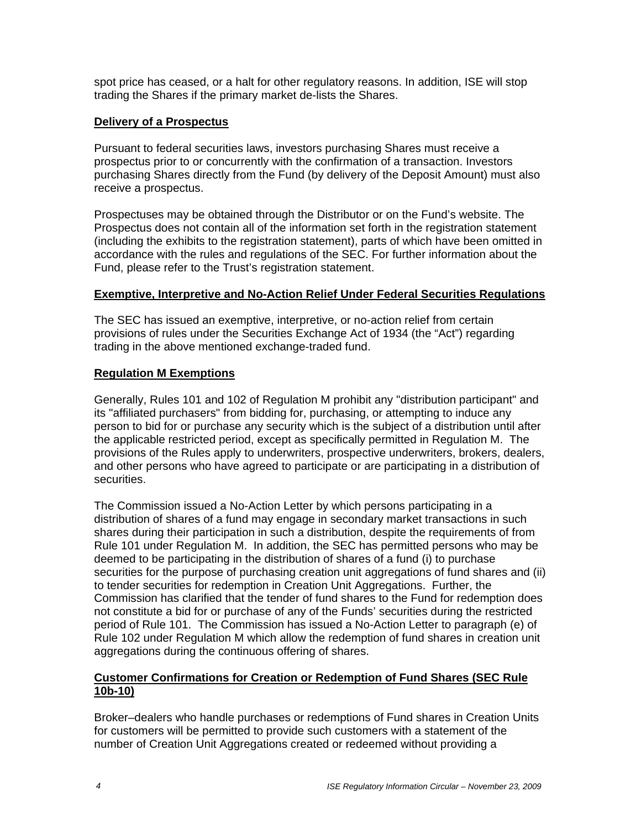spot price has ceased, or a halt for other regulatory reasons. In addition, ISE will stop trading the Shares if the primary market de-lists the Shares.

#### **Delivery of a Prospectus**

Pursuant to federal securities laws, investors purchasing Shares must receive a prospectus prior to or concurrently with the confirmation of a transaction. Investors purchasing Shares directly from the Fund (by delivery of the Deposit Amount) must also receive a prospectus.

Prospectuses may be obtained through the Distributor or on the Fund's website. The Prospectus does not contain all of the information set forth in the registration statement (including the exhibits to the registration statement), parts of which have been omitted in accordance with the rules and regulations of the SEC. For further information about the Fund, please refer to the Trust's registration statement.

#### **Exemptive, Interpretive and No-Action Relief Under Federal Securities Regulations**

The SEC has issued an exemptive, interpretive, or no-action relief from certain provisions of rules under the Securities Exchange Act of 1934 (the "Act") regarding trading in the above mentioned exchange-traded fund.

# **Regulation M Exemptions**

Generally, Rules 101 and 102 of Regulation M prohibit any "distribution participant" and its "affiliated purchasers" from bidding for, purchasing, or attempting to induce any person to bid for or purchase any security which is the subject of a distribution until after the applicable restricted period, except as specifically permitted in Regulation M. The provisions of the Rules apply to underwriters, prospective underwriters, brokers, dealers, and other persons who have agreed to participate or are participating in a distribution of securities.

The Commission issued a No-Action Letter by which persons participating in a distribution of shares of a fund may engage in secondary market transactions in such shares during their participation in such a distribution, despite the requirements of from Rule 101 under Regulation M. In addition, the SEC has permitted persons who may be deemed to be participating in the distribution of shares of a fund (i) to purchase securities for the purpose of purchasing creation unit aggregations of fund shares and (ii) to tender securities for redemption in Creation Unit Aggregations. Further, the Commission has clarified that the tender of fund shares to the Fund for redemption does not constitute a bid for or purchase of any of the Funds' securities during the restricted period of Rule 101. The Commission has issued a No-Action Letter to paragraph (e) of Rule 102 under Regulation M which allow the redemption of fund shares in creation unit aggregations during the continuous offering of shares.

# **Customer Confirmations for Creation or Redemption of Fund Shares (SEC Rule 10b-10)**

Broker–dealers who handle purchases or redemptions of Fund shares in Creation Units for customers will be permitted to provide such customers with a statement of the number of Creation Unit Aggregations created or redeemed without providing a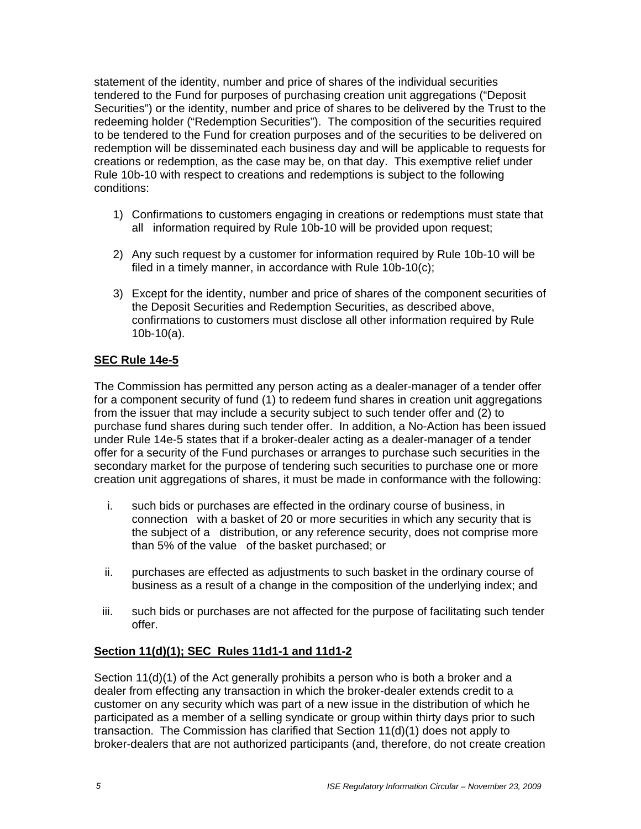statement of the identity, number and price of shares of the individual securities tendered to the Fund for purposes of purchasing creation unit aggregations ("Deposit Securities") or the identity, number and price of shares to be delivered by the Trust to the redeeming holder ("Redemption Securities"). The composition of the securities required to be tendered to the Fund for creation purposes and of the securities to be delivered on redemption will be disseminated each business day and will be applicable to requests for creations or redemption, as the case may be, on that day. This exemptive relief under Rule 10b-10 with respect to creations and redemptions is subject to the following conditions:

- 1) Confirmations to customers engaging in creations or redemptions must state that all information required by Rule 10b-10 will be provided upon request;
- 2) Any such request by a customer for information required by Rule 10b-10 will be filed in a timely manner, in accordance with Rule 10b-10(c);
- 3) Except for the identity, number and price of shares of the component securities of the Deposit Securities and Redemption Securities, as described above, confirmations to customers must disclose all other information required by Rule 10b-10(a).

# **SEC Rule 14e-5**

The Commission has permitted any person acting as a dealer-manager of a tender offer for a component security of fund (1) to redeem fund shares in creation unit aggregations from the issuer that may include a security subject to such tender offer and (2) to purchase fund shares during such tender offer. In addition, a No-Action has been issued under Rule 14e-5 states that if a broker-dealer acting as a dealer-manager of a tender offer for a security of the Fund purchases or arranges to purchase such securities in the secondary market for the purpose of tendering such securities to purchase one or more creation unit aggregations of shares, it must be made in conformance with the following:

- i. such bids or purchases are effected in the ordinary course of business, in connection with a basket of 20 or more securities in which any security that is the subject of a distribution, or any reference security, does not comprise more than 5% of the value of the basket purchased; or
- ii. purchases are effected as adjustments to such basket in the ordinary course of business as a result of a change in the composition of the underlying index; and
- iii. such bids or purchases are not affected for the purpose of facilitating such tender offer.

# **Section 11(d)(1); SEC Rules 11d1-1 and 11d1-2**

Section 11(d)(1) of the Act generally prohibits a person who is both a broker and a dealer from effecting any transaction in which the broker-dealer extends credit to a customer on any security which was part of a new issue in the distribution of which he participated as a member of a selling syndicate or group within thirty days prior to such transaction. The Commission has clarified that Section 11(d)(1) does not apply to broker-dealers that are not authorized participants (and, therefore, do not create creation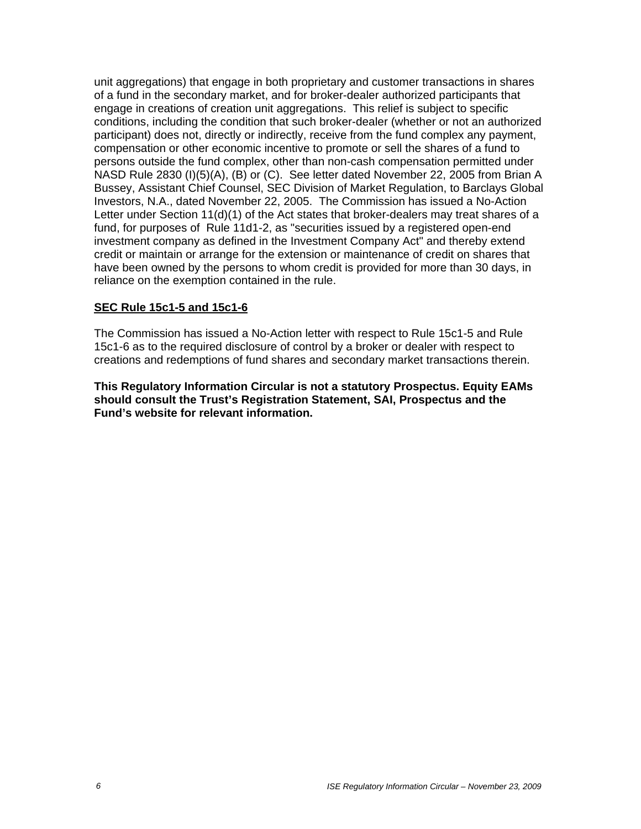unit aggregations) that engage in both proprietary and customer transactions in shares of a fund in the secondary market, and for broker-dealer authorized participants that engage in creations of creation unit aggregations. This relief is subject to specific conditions, including the condition that such broker-dealer (whether or not an authorized participant) does not, directly or indirectly, receive from the fund complex any payment, compensation or other economic incentive to promote or sell the shares of a fund to persons outside the fund complex, other than non-cash compensation permitted under NASD Rule 2830 (I)(5)(A), (B) or (C). See letter dated November 22, 2005 from Brian A Bussey, Assistant Chief Counsel, SEC Division of Market Regulation, to Barclays Global Investors, N.A., dated November 22, 2005. The Commission has issued a No-Action Letter under Section 11(d)(1) of the Act states that broker-dealers may treat shares of a fund, for purposes of Rule 11d1-2, as "securities issued by a registered open-end investment company as defined in the Investment Company Act" and thereby extend credit or maintain or arrange for the extension or maintenance of credit on shares that have been owned by the persons to whom credit is provided for more than 30 days, in reliance on the exemption contained in the rule.

#### **SEC Rule 15c1-5 and 15c1-6**

The Commission has issued a No-Action letter with respect to Rule 15c1-5 and Rule 15c1-6 as to the required disclosure of control by a broker or dealer with respect to creations and redemptions of fund shares and secondary market transactions therein.

**This Regulatory Information Circular is not a statutory Prospectus. Equity EAMs should consult the Trust's Registration Statement, SAI, Prospectus and the Fund's website for relevant information.**